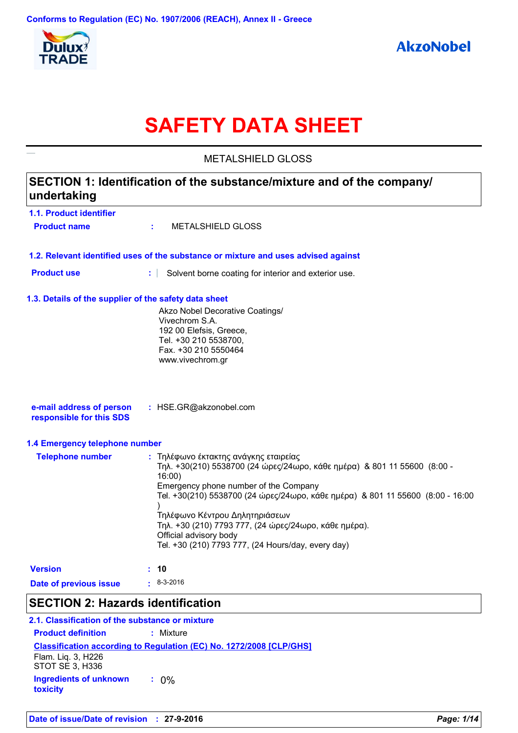

# **SAFETY DATA SHEET**

**1.1. Product identifier 1.3. Details of the supplier of the safety data sheet 1.2. Relevant identified uses of the substance or mixture and uses advised against SECTION 1: Identification of the substance/mixture and of the company/ undertaking Date of previous issue :** 8-3-2016 Akzo Nobel Decorative Coatings/ Vivechrom S.A. 192 00 Elefsis, Greece, Tel. +30 210 5538700, Fax. +30 210 5550464 www.vivechrom.gr **e-mail address of person responsible for this SDS :** HSE.GR@akzonobel.com **1.4 Emergency telephone number Telephone number :** Τηλέφωνο έκτακτης ανάγκης εταιρείας Τηλ. +30(210) 5538700 (24 ώρες/24ωρο, κάθε ημέρα) & 801 11 55600 (8:00 - 16:00) Emergency phone number of the Company Tel. +30(210) 5538700 (24 ώρες/24ωρο, κάθε ημέρα) & 801 11 55600 (8:00 - 16:00 ) Τηλέφωνο Κέντρου Δηλητηριάσεων Τηλ. +30 (210) 7793 777, (24 ώρες/24ωρο, κάθε ημέρα). Official advisory body Tel. +30 (210) 7793 777, (24 Hours/day, every day) **Version : 10 Product name :** METALSHIELD GLOSS **Product use <b>:** Solvent borne coating for interior and exterior use. METAL SHIELD GLOSS

### **SECTION 2: Hazards identification**

**Classification according to Regulation (EC) No. 1272/2008 [CLP/GHS] 2.1. Classification of the substance or mixture Product definition :** Mixture **Ingredients of unknown toxicity :** 0% Flam. Liq. 3, H226 STOT SE 3, H336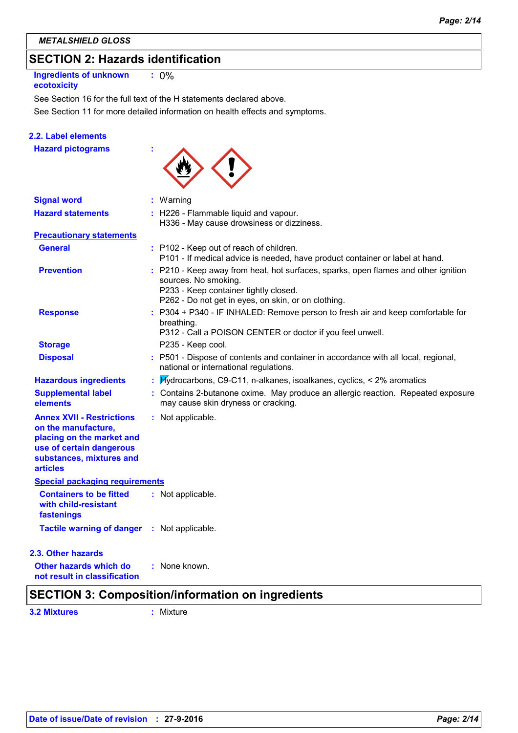# **SECTION 2: Hazards identification**

**Ingredients of unknown ecotoxicity :** 0%

See Section 11 for more detailed information on health effects and symptoms. See Section 16 for the full text of the H statements declared above.

### **2.2. Label elements**

**Hazard pictograms :**



| <b>Signal word</b>                                                                                                                                              | $:$ Warning                                                                                                                                                                                                |
|-----------------------------------------------------------------------------------------------------------------------------------------------------------------|------------------------------------------------------------------------------------------------------------------------------------------------------------------------------------------------------------|
| <b>Hazard statements</b>                                                                                                                                        | : H226 - Flammable liquid and vapour.<br>H336 - May cause drowsiness or dizziness.                                                                                                                         |
| <b>Precautionary statements</b>                                                                                                                                 |                                                                                                                                                                                                            |
| <b>General</b>                                                                                                                                                  | : P102 - Keep out of reach of children.<br>P101 - If medical advice is needed, have product container or label at hand.                                                                                    |
| <b>Prevention</b>                                                                                                                                               | : P210 - Keep away from heat, hot surfaces, sparks, open flames and other ignition<br>sources. No smoking.<br>P233 - Keep container tightly closed.<br>P262 - Do not get in eyes, on skin, or on clothing. |
| <b>Response</b>                                                                                                                                                 | P304 + P340 - IF INHALED: Remove person to fresh air and keep comfortable for<br>breathing.<br>P312 - Call a POISON CENTER or doctor if you feel unwell.                                                   |
| <b>Storage</b>                                                                                                                                                  | P235 - Keep cool.                                                                                                                                                                                          |
| <b>Disposal</b>                                                                                                                                                 | : P501 - Dispose of contents and container in accordance with all local, regional,<br>national or international regulations.                                                                               |
| <b>Hazardous ingredients</b>                                                                                                                                    | : Hydrocarbons, C9-C11, n-alkanes, isoalkanes, cyclics, < 2% aromatics                                                                                                                                     |
| <b>Supplemental label</b><br>elements                                                                                                                           | : Contains 2-butanone oxime. May produce an allergic reaction. Repeated exposure<br>may cause skin dryness or cracking.                                                                                    |
| <b>Annex XVII - Restrictions</b><br>on the manufacture,<br>placing on the market and<br>use of certain dangerous<br>substances, mixtures and<br><b>articles</b> | : Not applicable.                                                                                                                                                                                          |
| <b>Special packaging requirements</b>                                                                                                                           |                                                                                                                                                                                                            |
| <b>Containers to be fitted</b><br>with child-resistant<br>fastenings                                                                                            | : Not applicable.                                                                                                                                                                                          |
| <b>Tactile warning of danger</b>                                                                                                                                | : Not applicable.                                                                                                                                                                                          |
| 2.3. Other hazards                                                                                                                                              |                                                                                                                                                                                                            |
| Other hazards which do<br>not result in classification                                                                                                          | : None known.                                                                                                                                                                                              |
| OFATIAN 0. A                                                                                                                                                    | $14! \times 16! \times 2 \times 16! \times 16! \times 16!$<br>وللتمريح المتمرم ومتراد                                                                                                                      |

# **SECTION 3: Composition/information on ingredients**

**3.2 Mixtures :** Mixture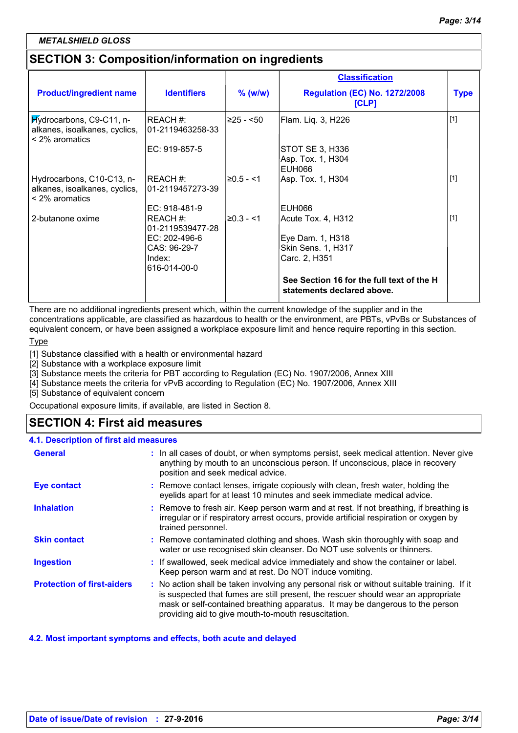### *METALSHIELD GLOSS*

# **SECTION 3: Composition/information on ingredients**

|                                                                                   |                              |              | <b>Classification</b>                                                   |             |
|-----------------------------------------------------------------------------------|------------------------------|--------------|-------------------------------------------------------------------------|-------------|
| <b>Product/ingredient name</b>                                                    | <b>Identifiers</b>           | $%$ (w/w)    | <b>Regulation (EC) No. 1272/2008</b><br>[CLP]                           | <b>Type</b> |
| Hydrocarbons, C9-C11, n-<br>alkanes, isoalkanes, cyclics,<br>$<$ 2% aromatics     | REACH#:<br>01-2119463258-33  | ≥25 - <50    | Flam. Liq. 3, H226                                                      | $[1]$       |
|                                                                                   | EC: 919-857-5                |              | STOT SE 3, H336<br>Asp. Tox. 1, H304<br><b>EUH066</b>                   |             |
| Hydrocarbons, C10-C13, n-<br>alkanes, isoalkanes, cyclics,<br>$\leq$ 2% aromatics | REACH #:<br>01-2119457273-39 | $≥0.5 - < 1$ | Asp. Tox. 1, H304                                                       | $[1]$       |
|                                                                                   | EC: 918-481-9                |              | EUH066                                                                  |             |
| 2-butanone oxime                                                                  | REACH#:<br>01-2119539477-28  | $≥0.3 - 1$   | Acute Tox. 4, H312                                                      | $[1]$       |
|                                                                                   | $EC: 202-496-6$              |              | Eye Dam. 1, H318                                                        |             |
|                                                                                   | CAS: 96-29-7                 |              | Skin Sens. 1, H317                                                      |             |
|                                                                                   | Index:<br>616-014-00-0       |              | Carc. 2, H351                                                           |             |
|                                                                                   |                              |              | See Section 16 for the full text of the H<br>statements declared above. |             |

There are no additional ingredients present which, within the current knowledge of the supplier and in the concentrations applicable, are classified as hazardous to health or the environment, are PBTs, vPvBs or Substances of equivalent concern, or have been assigned a workplace exposure limit and hence require reporting in this section.

Type

[1] Substance classified with a health or environmental hazard

[2] Substance with a workplace exposure limit

[3] Substance meets the criteria for PBT according to Regulation (EC) No. 1907/2006, Annex XIII

[4] Substance meets the criteria for vPvB according to Regulation (EC) No. 1907/2006, Annex XIII

[5] Substance of equivalent concern

Occupational exposure limits, if available, are listed in Section 8.

### **SECTION 4: First aid measures**

| 4.1. Description of first aid measures |                                                                                                                                                                                                                                                                                                                         |
|----------------------------------------|-------------------------------------------------------------------------------------------------------------------------------------------------------------------------------------------------------------------------------------------------------------------------------------------------------------------------|
| <b>General</b>                         | : In all cases of doubt, or when symptoms persist, seek medical attention. Never give<br>anything by mouth to an unconscious person. If unconscious, place in recovery<br>position and seek medical advice.                                                                                                             |
| <b>Eye contact</b>                     | : Remove contact lenses, irrigate copiously with clean, fresh water, holding the<br>eyelids apart for at least 10 minutes and seek immediate medical advice.                                                                                                                                                            |
| <b>Inhalation</b>                      | : Remove to fresh air. Keep person warm and at rest. If not breathing, if breathing is<br>irregular or if respiratory arrest occurs, provide artificial respiration or oxygen by<br>trained personnel.                                                                                                                  |
| <b>Skin contact</b>                    | : Remove contaminated clothing and shoes. Wash skin thoroughly with soap and<br>water or use recognised skin cleanser. Do NOT use solvents or thinners.                                                                                                                                                                 |
| <b>Ingestion</b>                       | : If swallowed, seek medical advice immediately and show the container or label.<br>Keep person warm and at rest. Do NOT induce vomiting.                                                                                                                                                                               |
| <b>Protection of first-aiders</b>      | : No action shall be taken involving any personal risk or without suitable training. If it<br>is suspected that fumes are still present, the rescuer should wear an appropriate<br>mask or self-contained breathing apparatus. It may be dangerous to the person<br>providing aid to give mouth-to-mouth resuscitation. |

### **4.2. Most important symptoms and effects, both acute and delayed**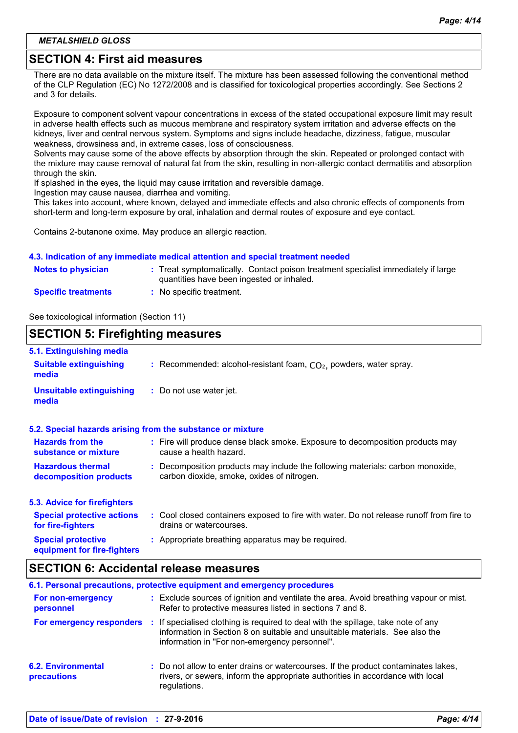### **SECTION 4: First aid measures**

There are no data available on the mixture itself. The mixture has been assessed following the conventional method of the CLP Regulation (EC) No 1272/2008 and is classified for toxicological properties accordingly. See Sections 2 and 3 for details.

Exposure to component solvent vapour concentrations in excess of the stated occupational exposure limit may result in adverse health effects such as mucous membrane and respiratory system irritation and adverse effects on the kidneys, liver and central nervous system. Symptoms and signs include headache, dizziness, fatigue, muscular weakness, drowsiness and, in extreme cases, loss of consciousness.

Solvents may cause some of the above effects by absorption through the skin. Repeated or prolonged contact with the mixture may cause removal of natural fat from the skin, resulting in non-allergic contact dermatitis and absorption through the skin.

If splashed in the eyes, the liquid may cause irritation and reversible damage.

Ingestion may cause nausea, diarrhea and vomiting.

This takes into account, where known, delayed and immediate effects and also chronic effects of components from short-term and long-term exposure by oral, inhalation and dermal routes of exposure and eye contact.

Contains 2-butanone oxime. May produce an allergic reaction.

#### **4.3. Indication of any immediate medical attention and special treatment needed**

| <b>Notes to physician</b>  | : Treat symptomatically. Contact poison treatment specialist immediately if large<br>quantities have been ingested or inhaled. |
|----------------------------|--------------------------------------------------------------------------------------------------------------------------------|
| <b>Specific treatments</b> | No specific treatment.                                                                                                         |

See toxicological information (Section 11)

### **SECTION 5: Firefighting measures**

| 5.1. Extinguishing media                                 |                                                                                                                              |
|----------------------------------------------------------|------------------------------------------------------------------------------------------------------------------------------|
| <b>Suitable extinguishing</b><br>media                   | : Recommended: alcohol-resistant foam, $CO2$ , powders, water spray.                                                         |
| <b>Unsuitable extinguishing</b><br>media                 | : Do not use water jet.                                                                                                      |
|                                                          | 5.2. Special hazards arising from the substance or mixture                                                                   |
| <b>Hazards from the</b><br>substance or mixture          | : Fire will produce dense black smoke. Exposure to decomposition products may<br>cause a health hazard.                      |
| <b>Hazardous thermal</b><br>decomposition products       | : Decomposition products may include the following materials: carbon monoxide,<br>carbon dioxide, smoke, oxides of nitrogen. |
| 5.3. Advice for firefighters                             |                                                                                                                              |
| <b>Special protective actions</b><br>for fire-fighters   | : Cool closed containers exposed to fire with water. Do not release runoff from fire to<br>drains or watercourses.           |
| <b>Special protective</b><br>equipment for fire-fighters | : Appropriate breathing apparatus may be required.                                                                           |

### **SECTION 6: Accidental release measures**

| 6.1. Personal precautions, protective equipment and emergency procedures |     |                                                                                                                                                                                                                 |  |  |
|--------------------------------------------------------------------------|-----|-----------------------------------------------------------------------------------------------------------------------------------------------------------------------------------------------------------------|--|--|
| For non-emergency<br>personnel                                           |     | : Exclude sources of ignition and ventilate the area. Avoid breathing vapour or mist.<br>Refer to protective measures listed in sections 7 and 8.                                                               |  |  |
| For emergency responders                                                 | -11 | If specialised clothing is required to deal with the spillage, take note of any<br>information in Section 8 on suitable and unsuitable materials. See also the<br>information in "For non-emergency personnel". |  |  |
| <b>6.2. Environmental</b><br>precautions                                 |     | : Do not allow to enter drains or watercourses. If the product contaminates lakes,<br>rivers, or sewers, inform the appropriate authorities in accordance with local<br>regulations.                            |  |  |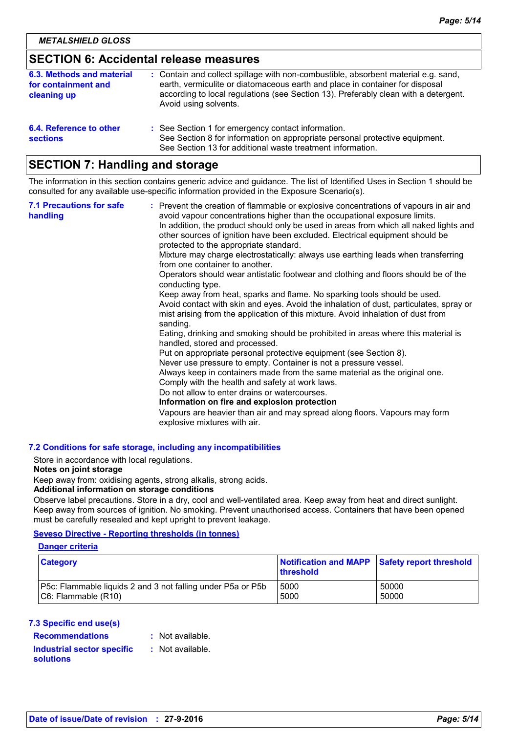### **SECTION 6: Accidental release measures**

| 6.3. Methods and material<br>for containment and<br>cleaning up | : Contain and collect spillage with non-combustible, absorbent material e.g. sand,<br>earth, vermiculite or diatomaceous earth and place in container for disposal<br>according to local regulations (see Section 13). Preferably clean with a detergent.<br>Avoid using solvents. |
|-----------------------------------------------------------------|------------------------------------------------------------------------------------------------------------------------------------------------------------------------------------------------------------------------------------------------------------------------------------|
| 6.4. Reference to other<br><b>sections</b>                      | : See Section 1 for emergency contact information.<br>See Section 8 for information on appropriate personal protective equipment.<br>See Section 13 for additional waste treatment information.                                                                                    |

### **SECTION 7: Handling and storage**

The information in this section contains generic advice and guidance. The list of Identified Uses in Section 1 should be consulted for any available use-specific information provided in the Exposure Scenario(s).

| <b>7.1 Precautions for safe</b><br>handling | : Prevent the creation of flammable or explosive concentrations of vapours in air and<br>avoid vapour concentrations higher than the occupational exposure limits.<br>In addition, the product should only be used in areas from which all naked lights and<br>other sources of ignition have been excluded. Electrical equipment should be<br>protected to the appropriate standard.<br>Mixture may charge electrostatically: always use earthing leads when transferring<br>from one container to another.<br>Operators should wear antistatic footwear and clothing and floors should be of the<br>conducting type.<br>Keep away from heat, sparks and flame. No sparking tools should be used.<br>Avoid contact with skin and eyes. Avoid the inhalation of dust, particulates, spray or<br>mist arising from the application of this mixture. Avoid inhalation of dust from<br>sanding.<br>Eating, drinking and smoking should be prohibited in areas where this material is<br>handled, stored and processed.<br>Put on appropriate personal protective equipment (see Section 8).<br>Never use pressure to empty. Container is not a pressure vessel.<br>Always keep in containers made from the same material as the original one.<br>Comply with the health and safety at work laws.<br>Do not allow to enter drains or watercourses.<br>Information on fire and explosion protection<br>Vapours are heavier than air and may spread along floors. Vapours may form<br>explosive mixtures with air. |
|---------------------------------------------|--------------------------------------------------------------------------------------------------------------------------------------------------------------------------------------------------------------------------------------------------------------------------------------------------------------------------------------------------------------------------------------------------------------------------------------------------------------------------------------------------------------------------------------------------------------------------------------------------------------------------------------------------------------------------------------------------------------------------------------------------------------------------------------------------------------------------------------------------------------------------------------------------------------------------------------------------------------------------------------------------------------------------------------------------------------------------------------------------------------------------------------------------------------------------------------------------------------------------------------------------------------------------------------------------------------------------------------------------------------------------------------------------------------------------------------------------------------------------------------------------------------|
|---------------------------------------------|--------------------------------------------------------------------------------------------------------------------------------------------------------------------------------------------------------------------------------------------------------------------------------------------------------------------------------------------------------------------------------------------------------------------------------------------------------------------------------------------------------------------------------------------------------------------------------------------------------------------------------------------------------------------------------------------------------------------------------------------------------------------------------------------------------------------------------------------------------------------------------------------------------------------------------------------------------------------------------------------------------------------------------------------------------------------------------------------------------------------------------------------------------------------------------------------------------------------------------------------------------------------------------------------------------------------------------------------------------------------------------------------------------------------------------------------------------------------------------------------------------------|

### **7.2 Conditions for safe storage, including any incompatibilities**

Store in accordance with local regulations.

#### **Notes on joint storage**

Keep away from: oxidising agents, strong alkalis, strong acids.

### **Additional information on storage conditions**

Observe label precautions. Store in a dry, cool and well-ventilated area. Keep away from heat and direct sunlight. Keep away from sources of ignition. No smoking. Prevent unauthorised access. Containers that have been opened must be carefully resealed and kept upright to prevent leakage.

### **Seveso Directive - Reporting thresholds (in tonnes)**

#### **Danger criteria**

| <b>Category</b>                                                    | Notification and MAPP Safety report threshold<br>threshold |       |
|--------------------------------------------------------------------|------------------------------------------------------------|-------|
| <b>P5c: Flammable liquids 2 and 3 not falling under P5a or P5b</b> | 5000                                                       | 50000 |
| $ C6:$ Flammable $(R10)$                                           | 5000                                                       | 50000 |

#### **7.3 Specific end use(s)**

#### **Recommendations :**

: Not available.

### **Industrial sector specific : solutions**

: Not available.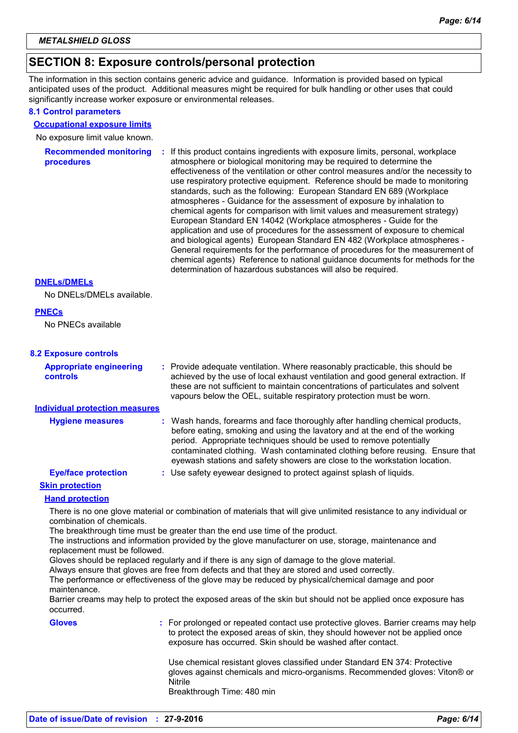### **SECTION 8: Exposure controls/personal protection**

The information in this section contains generic advice and guidance. Information is provided based on typical anticipated uses of the product. Additional measures might be required for bulk handling or other uses that could significantly increase worker exposure or environmental releases.

#### **8.1 Control parameters**

#### **Occupational exposure limits**

No exposure limit value known.

**Recommended monitoring procedures :** If this product contains ingredients with exposure limits, personal, workplace atmosphere or biological monitoring may be required to determine the effectiveness of the ventilation or other control measures and/or the necessity to use respiratory protective equipment. Reference should be made to monitoring standards, such as the following: European Standard EN 689 (Workplace atmospheres - Guidance for the assessment of exposure by inhalation to chemical agents for comparison with limit values and measurement strategy) European Standard EN 14042 (Workplace atmospheres - Guide for the application and use of procedures for the assessment of exposure to chemical and biological agents) European Standard EN 482 (Workplace atmospheres - General requirements for the performance of procedures for the measurement of chemical agents) Reference to national guidance documents for methods for the determination of hazardous substances will also be required.

#### **DNELs/DMELs**

No DNELs/DMELs available.

### **PNECs**

No PNECs available

#### **8.2 Exposure controls**

Provide adequate ventilation. Where reasonably practicable, this should be **:** achieved by the use of local exhaust ventilation and good general extraction. If these are not sufficient to maintain concentrations of particulates and solvent vapours below the OEL, suitable respiratory protection must be worn. **Appropriate engineering controls**

### **Individual protection measures**

| <b>Hygiene measures</b>    |  | : Wash hands, forearms and face thoroughly after handling chemical products,<br>before eating, smoking and using the lavatory and at the end of the working<br>period. Appropriate techniques should be used to remove potentially<br>contaminated clothing. Wash contaminated clothing before reusing. Ensure that<br>eyewash stations and safety showers are close to the workstation location. |
|----------------------------|--|---------------------------------------------------------------------------------------------------------------------------------------------------------------------------------------------------------------------------------------------------------------------------------------------------------------------------------------------------------------------------------------------------|
| <b>Eye/face protection</b> |  | : Use safety eyewear designed to protect against splash of liquids.                                                                                                                                                                                                                                                                                                                               |

### **Skin protection**

#### **Hand protection**

There is no one glove material or combination of materials that will give unlimited resistance to any individual or combination of chemicals.

The breakthrough time must be greater than the end use time of the product.

The instructions and information provided by the glove manufacturer on use, storage, maintenance and replacement must be followed.

Gloves should be replaced regularly and if there is any sign of damage to the glove material.

Always ensure that gloves are free from defects and that they are stored and used correctly.

The performance or effectiveness of the glove may be reduced by physical/chemical damage and poor maintenance.

Barrier creams may help to protect the exposed areas of the skin but should not be applied once exposure has occurred.

**Gloves :** For prolonged or repeated contact use protective gloves. Barrier creams may help to protect the exposed areas of skin, they should however not be applied once exposure has occurred. Skin should be washed after contact.

> Use chemical resistant gloves classified under Standard EN 374: Protective gloves against chemicals and micro-organisms. Recommended gloves: Viton® or Nitrile

Breakthrough Time: 480 min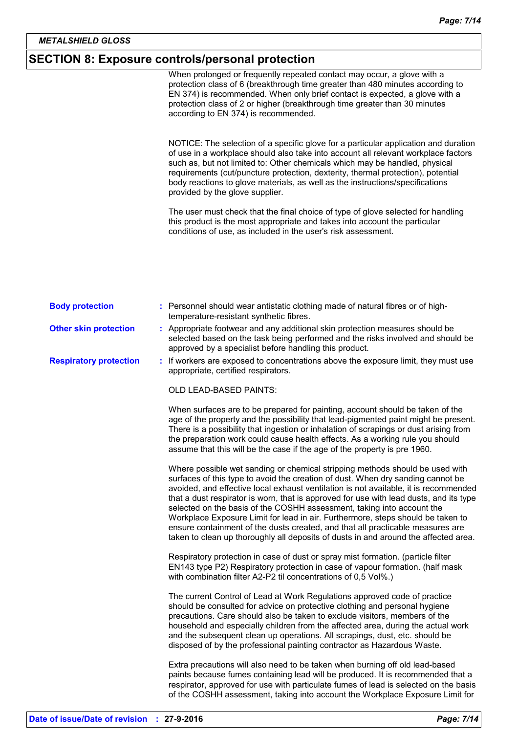# **SECTION 8: Exposure controls/personal protection**

|                               | When prolonged or frequently repeated contact may occur, a glove with a<br>protection class of 6 (breakthrough time greater than 480 minutes according to<br>EN 374) is recommended. When only brief contact is expected, a glove with a<br>protection class of 2 or higher (breakthrough time greater than 30 minutes<br>according to EN 374) is recommended.                                                                                                                                                                                                                                                                                                                          |
|-------------------------------|-----------------------------------------------------------------------------------------------------------------------------------------------------------------------------------------------------------------------------------------------------------------------------------------------------------------------------------------------------------------------------------------------------------------------------------------------------------------------------------------------------------------------------------------------------------------------------------------------------------------------------------------------------------------------------------------|
|                               | NOTICE: The selection of a specific glove for a particular application and duration<br>of use in a workplace should also take into account all relevant workplace factors<br>such as, but not limited to: Other chemicals which may be handled, physical<br>requirements (cut/puncture protection, dexterity, thermal protection), potential<br>body reactions to glove materials, as well as the instructions/specifications<br>provided by the glove supplier.                                                                                                                                                                                                                        |
|                               | The user must check that the final choice of type of glove selected for handling<br>this product is the most appropriate and takes into account the particular<br>conditions of use, as included in the user's risk assessment.                                                                                                                                                                                                                                                                                                                                                                                                                                                         |
|                               |                                                                                                                                                                                                                                                                                                                                                                                                                                                                                                                                                                                                                                                                                         |
| <b>Body protection</b>        | : Personnel should wear antistatic clothing made of natural fibres or of high-<br>temperature-resistant synthetic fibres.                                                                                                                                                                                                                                                                                                                                                                                                                                                                                                                                                               |
| <b>Other skin protection</b>  | : Appropriate footwear and any additional skin protection measures should be<br>selected based on the task being performed and the risks involved and should be<br>approved by a specialist before handling this product.                                                                                                                                                                                                                                                                                                                                                                                                                                                               |
| <b>Respiratory protection</b> | : If workers are exposed to concentrations above the exposure limit, they must use<br>appropriate, certified respirators.                                                                                                                                                                                                                                                                                                                                                                                                                                                                                                                                                               |
|                               | OLD LEAD-BASED PAINTS:                                                                                                                                                                                                                                                                                                                                                                                                                                                                                                                                                                                                                                                                  |
|                               | When surfaces are to be prepared for painting, account should be taken of the<br>age of the property and the possibility that lead-pigmented paint might be present.<br>There is a possibility that ingestion or inhalation of scrapings or dust arising from<br>the preparation work could cause health effects. As a working rule you should<br>assume that this will be the case if the age of the property is pre 1960.                                                                                                                                                                                                                                                             |
|                               | Where possible wet sanding or chemical stripping methods should be used with<br>surfaces of this type to avoid the creation of dust. When dry sanding cannot be<br>avoided, and effective local exhaust ventilation is not available, it is recommended<br>that a dust respirator is worn, that is approved for use with lead dusts, and its type<br>selected on the basis of the COSHH assessment, taking into account the<br>Workplace Exposure Limit for lead in air. Furthermore, steps should be taken to<br>ensure containment of the dusts created, and that all practicable measures are<br>taken to clean up thoroughly all deposits of dusts in and around the affected area. |
|                               | Respiratory protection in case of dust or spray mist formation. (particle filter<br>EN143 type P2) Respiratory protection in case of vapour formation. (half mask<br>with combination filter A2-P2 til concentrations of 0,5 Vol%.)                                                                                                                                                                                                                                                                                                                                                                                                                                                     |
|                               | The current Control of Lead at Work Regulations approved code of practice<br>should be consulted for advice on protective clothing and personal hygiene<br>precautions. Care should also be taken to exclude visitors, members of the<br>household and especially children from the affected area, during the actual work<br>and the subsequent clean up operations. All scrapings, dust, etc. should be<br>disposed of by the professional painting contractor as Hazardous Waste.                                                                                                                                                                                                     |
|                               | Extra precautions will also need to be taken when burning off old lead-based<br>paints because fumes containing lead will be produced. It is recommended that a<br>respirator, approved for use with particulate fumes of lead is selected on the basis<br>of the COSHH assessment, taking into account the Workplace Exposure Limit for                                                                                                                                                                                                                                                                                                                                                |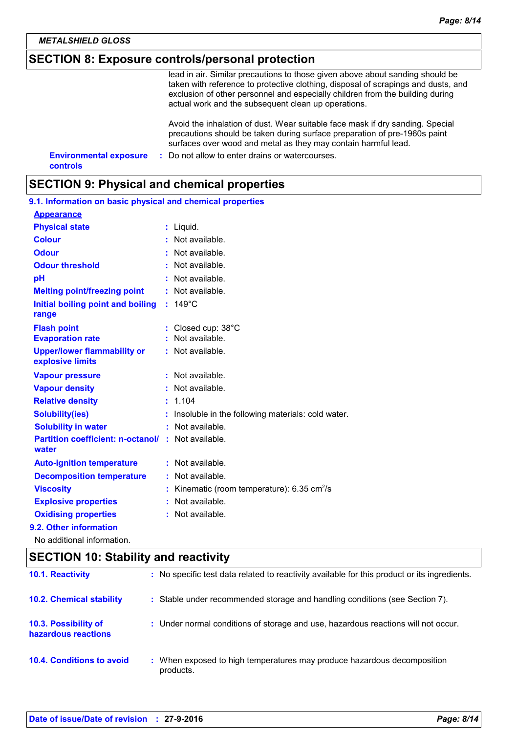### **SECTION 8: Exposure controls/personal protection**

lead in air. Similar precautions to those given above about sanding should be taken with reference to protective clothing, disposal of scrapings and dusts, and exclusion of other personnel and especially children from the building during actual work and the subsequent clean up operations.

Avoid the inhalation of dust. Wear suitable face mask if dry sanding. Special precautions should be taken during surface preparation of pre-1960s paint surfaces over wood and metal as they may contain harmful lead.

**Environmental exposure :** Do not allow to enter drains or watercourses. **controls**

### **SECTION 9: Physical and chemical properties**

| 9.1. Information on basic physical and chemical properties        |  |                                                       |  |
|-------------------------------------------------------------------|--|-------------------------------------------------------|--|
| <b>Appearance</b>                                                 |  |                                                       |  |
| <b>Physical state</b>                                             |  | : Liquid.                                             |  |
| <b>Colour</b>                                                     |  | Not available.                                        |  |
| <b>Odour</b>                                                      |  | Not available.                                        |  |
| <b>Odour threshold</b>                                            |  | Not available.                                        |  |
| pH                                                                |  | Not available.                                        |  |
| <b>Melting point/freezing point</b>                               |  | : Not available.                                      |  |
| Initial boiling point and boiling<br>range                        |  | $: 149^{\circ}$ C                                     |  |
| <b>Flash point</b>                                                |  | Closed cup: 38°C                                      |  |
| <b>Evaporation rate</b>                                           |  | : Not available.                                      |  |
| <b>Upper/lower flammability or</b><br>explosive limits            |  | : Not available.                                      |  |
| <b>Vapour pressure</b>                                            |  | : Not available.                                      |  |
| <b>Vapour density</b>                                             |  | : Not available.                                      |  |
| <b>Relative density</b>                                           |  | 1.104                                                 |  |
| <b>Solubility(ies)</b>                                            |  | Insoluble in the following materials: cold water.     |  |
| <b>Solubility in water</b>                                        |  | Not available.                                        |  |
| <b>Partition coefficient: n-octanol/: Not available.</b><br>water |  |                                                       |  |
| <b>Auto-ignition temperature</b>                                  |  | : Not available.                                      |  |
| <b>Decomposition temperature</b>                                  |  | Not available.                                        |  |
| <b>Viscosity</b>                                                  |  | Kinematic (room temperature): 6.35 cm <sup>2</sup> /s |  |
| <b>Explosive properties</b>                                       |  | Not available.                                        |  |
| <b>Oxidising properties</b>                                       |  | Not available.                                        |  |
| 9.2. Other information                                            |  |                                                       |  |
| No additional information.                                        |  |                                                       |  |

### **SECTION 10: Stability and reactivity**

| <b>10.1. Reactivity</b>                     | : No specific test data related to reactivity available for this product or its ingredients. |
|---------------------------------------------|----------------------------------------------------------------------------------------------|
| <b>10.2. Chemical stability</b>             | : Stable under recommended storage and handling conditions (see Section 7).                  |
| 10.3. Possibility of<br>hazardous reactions | : Under normal conditions of storage and use, hazardous reactions will not occur.            |
| <b>10.4. Conditions to avoid</b>            | : When exposed to high temperatures may produce hazardous decomposition<br>products.         |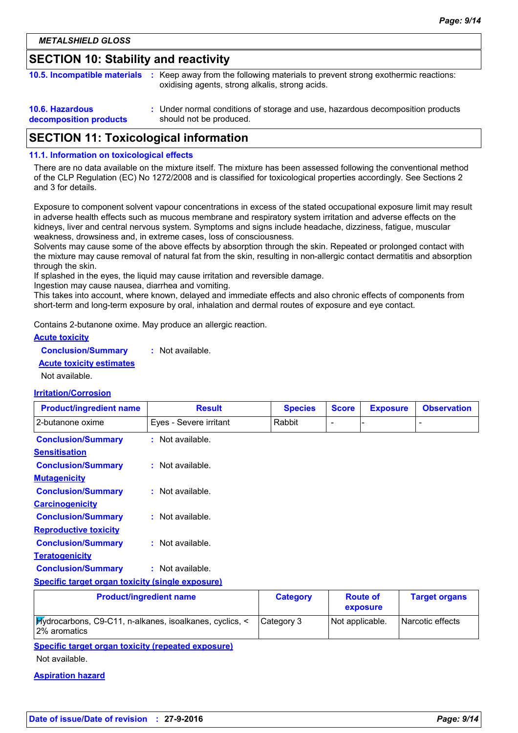### **SECTION 10: Stability and reactivity**

| 10.5. Incompatible materials                     | : Keep away from the following materials to prevent strong exothermic reactions:<br>oxidising agents, strong alkalis, strong acids. |
|--------------------------------------------------|-------------------------------------------------------------------------------------------------------------------------------------|
| <b>10.6. Hazardous</b><br>decomposition products | : Under normal conditions of storage and use, hazardous decomposition products<br>should not be produced.                           |

### **SECTION 11: Toxicological information**

#### **11.1. Information on toxicological effects**

There are no data available on the mixture itself. The mixture has been assessed following the conventional method of the CLP Regulation (EC) No 1272/2008 and is classified for toxicological properties accordingly. See Sections 2 and 3 for details.

Exposure to component solvent vapour concentrations in excess of the stated occupational exposure limit may result in adverse health effects such as mucous membrane and respiratory system irritation and adverse effects on the kidneys, liver and central nervous system. Symptoms and signs include headache, dizziness, fatigue, muscular weakness, drowsiness and, in extreme cases, loss of consciousness.

Solvents may cause some of the above effects by absorption through the skin. Repeated or prolonged contact with the mixture may cause removal of natural fat from the skin, resulting in non-allergic contact dermatitis and absorption through the skin.

If splashed in the eyes, the liquid may cause irritation and reversible damage.

Ingestion may cause nausea, diarrhea and vomiting.

This takes into account, where known, delayed and immediate effects and also chronic effects of components from short-term and long-term exposure by oral, inhalation and dermal routes of exposure and eye contact.

Contains 2-butanone oxime. May produce an allergic reaction.

| <b>Acute toxicity</b> |  |
|-----------------------|--|
|                       |  |

| <b>Conclusion/Summary</b> | Not available. |
|---------------------------|----------------|
|---------------------------|----------------|

**Acute toxicity estimates**

Not available.

#### **Irritation/Corrosion**

| <b>Product/ingredient name</b>                          | <b>Result</b>                  | <b>Species</b>  | <b>Score</b> | <b>Exposure</b> | <b>Observation</b>   |
|---------------------------------------------------------|--------------------------------|-----------------|--------------|-----------------|----------------------|
| 2-butanone oxime                                        | Eyes - Severe irritant         | Rabbit          |              |                 |                      |
| <b>Conclusion/Summary</b>                               | $:$ Not available.             |                 |              |                 |                      |
| <b>Sensitisation</b>                                    |                                |                 |              |                 |                      |
| <b>Conclusion/Summary</b>                               | $:$ Not available.             |                 |              |                 |                      |
| <b>Mutagenicity</b>                                     |                                |                 |              |                 |                      |
| <b>Conclusion/Summary</b>                               | $:$ Not available.             |                 |              |                 |                      |
| <b>Carcinogenicity</b>                                  |                                |                 |              |                 |                      |
| <b>Conclusion/Summary</b>                               | $:$ Not available.             |                 |              |                 |                      |
| <b>Reproductive toxicity</b>                            |                                |                 |              |                 |                      |
| <b>Conclusion/Summary</b>                               | $:$ Not available.             |                 |              |                 |                      |
| <b>Teratogenicity</b>                                   |                                |                 |              |                 |                      |
| <b>Conclusion/Summary</b>                               | $:$ Not available.             |                 |              |                 |                      |
| <b>Specific target organ toxicity (single exposure)</b> |                                |                 |              |                 |                      |
|                                                         | <b>Product/ingredient name</b> | <b>Category</b> |              | <b>Route of</b> | <b>Target organs</b> |

|  |  |  |  | <b>Product/ingradient name</b> |  |  |  |
|--|--|--|--|--------------------------------|--|--|--|
|--|--|--|--|--------------------------------|--|--|--|

| <b>Product/ingredient name</b>                                          | <b>Category</b> | <b>Route of</b><br>exposure | <b>Larget organs</b> |
|-------------------------------------------------------------------------|-----------------|-----------------------------|----------------------|
| Hydrocarbons, C9-C11, n-alkanes, isoalkanes, cyclics, <<br>2% aromatics | Category 3      | Not applicable.             | l Narcotic effects   |

**Specific target organ toxicity (repeated exposure)**

Not available.

#### **Aspiration hazard**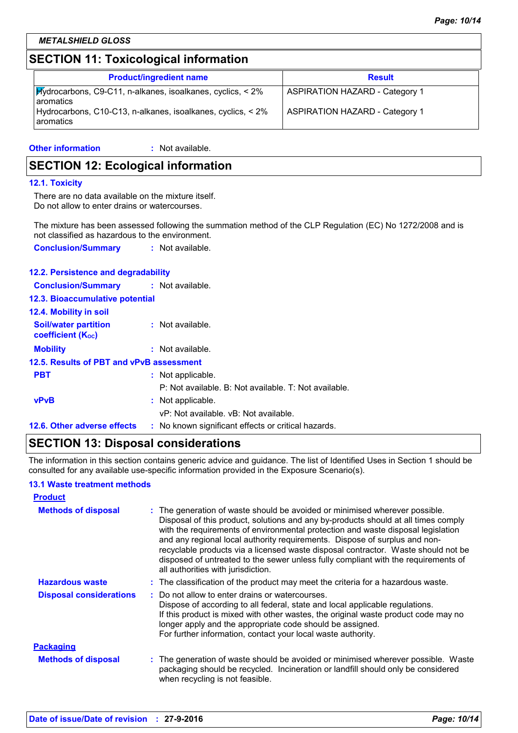# **SECTION 11: Toxicological information**

| <b>Product/ingredient name</b>                                                                 | <b>Result</b>                         |
|------------------------------------------------------------------------------------------------|---------------------------------------|
| $ \mathcal{H}_V$ drocarbons, C9-C11, n-alkanes, isoalkanes, cyclics, < 2%<br><b>Laromatics</b> | <b>ASPIRATION HAZARD - Category 1</b> |
| Hydrocarbons, C10-C13, n-alkanes, isoalkanes, cyclics, < 2%<br><b>l</b> aromatics              | <b>ASPIRATION HAZARD - Category 1</b> |

#### **Other information :** : Not available.

### **SECTION 12: Ecological information**

#### **12.1. Toxicity**

There are no data available on the mixture itself. Do not allow to enter drains or watercourses.

The mixture has been assessed following the summation method of the CLP Regulation (EC) No 1272/2008 and is not classified as hazardous to the environment.

| <b>Conclusion/Summary</b> | : Not available. |
|---------------------------|------------------|
|---------------------------|------------------|

### **12.2. Persistence and degradability**

| 12.6. Other adverse effects                             | : No known significant effects or critical hazards.   |
|---------------------------------------------------------|-------------------------------------------------------|
|                                                         | vP: Not available, vB: Not available.                 |
| <b>vPvB</b>                                             | : Not applicable.                                     |
|                                                         | P: Not available. B: Not available. T: Not available. |
| <b>PBT</b>                                              | : Not applicable.                                     |
| 12.5. Results of PBT and vPvB assessment                |                                                       |
| <b>Mobility</b>                                         | : Not available.                                      |
| <b>Soil/water partition</b><br><b>coefficient (Koc)</b> | : Not available.                                      |
| 12.4. Mobility in soil                                  |                                                       |
| <b>12.3. Bioaccumulative potential</b>                  |                                                       |
| <b>Conclusion/Summary : Not available.</b>              |                                                       |
|                                                         |                                                       |

### **SECTION 13: Disposal considerations**

The information in this section contains generic advice and guidance. The list of Identified Uses in Section 1 should be consulted for any available use-specific information provided in the Exposure Scenario(s).

### **13.1 Waste treatment methods**

| <b>Product</b>                 |                                                                                                                                                                                                                                                                                                                                                                                                                                                                                                                                                      |
|--------------------------------|------------------------------------------------------------------------------------------------------------------------------------------------------------------------------------------------------------------------------------------------------------------------------------------------------------------------------------------------------------------------------------------------------------------------------------------------------------------------------------------------------------------------------------------------------|
| <b>Methods of disposal</b>     | : The generation of waste should be avoided or minimised wherever possible.<br>Disposal of this product, solutions and any by-products should at all times comply<br>with the requirements of environmental protection and waste disposal legislation<br>and any regional local authority requirements. Dispose of surplus and non-<br>recyclable products via a licensed waste disposal contractor. Waste should not be<br>disposed of untreated to the sewer unless fully compliant with the requirements of<br>all authorities with jurisdiction. |
| <b>Hazardous waste</b>         | : The classification of the product may meet the criteria for a hazardous waste.                                                                                                                                                                                                                                                                                                                                                                                                                                                                     |
| <b>Disposal considerations</b> | : Do not allow to enter drains or watercourses.<br>Dispose of according to all federal, state and local applicable regulations.<br>If this product is mixed with other wastes, the original waste product code may no<br>longer apply and the appropriate code should be assigned.<br>For further information, contact your local waste authority.                                                                                                                                                                                                   |
| <b>Packaging</b>               |                                                                                                                                                                                                                                                                                                                                                                                                                                                                                                                                                      |
| <b>Methods of disposal</b>     | : The generation of waste should be avoided or minimised wherever possible. Waste<br>packaging should be recycled. Incineration or landfill should only be considered<br>when recycling is not feasible.                                                                                                                                                                                                                                                                                                                                             |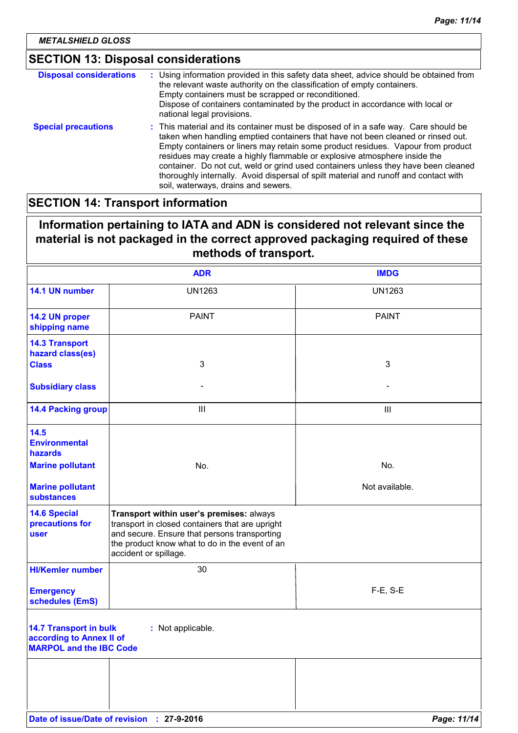# **SECTION 13: Disposal considerations**

| <b>Disposal considerations</b> | : Using information provided in this safety data sheet, advice should be obtained from<br>the relevant waste authority on the classification of empty containers.<br>Empty containers must be scrapped or reconditioned.<br>Dispose of containers contaminated by the product in accordance with local or<br>national legal provisions.                                                                                                                                                                                                                       |
|--------------------------------|---------------------------------------------------------------------------------------------------------------------------------------------------------------------------------------------------------------------------------------------------------------------------------------------------------------------------------------------------------------------------------------------------------------------------------------------------------------------------------------------------------------------------------------------------------------|
| <b>Special precautions</b>     | : This material and its container must be disposed of in a safe way. Care should be<br>taken when handling emptied containers that have not been cleaned or rinsed out.<br>Empty containers or liners may retain some product residues. Vapour from product<br>residues may create a highly flammable or explosive atmosphere inside the<br>container. Do not cut, weld or grind used containers unless they have been cleaned<br>thoroughly internally. Avoid dispersal of spilt material and runoff and contact with<br>soil, waterways, drains and sewers. |

### **SECTION 14: Transport information**

# **Information pertaining to IATA and ADN is considered not relevant since the material is not packaged in the correct approved packaging required of these methods of transport.**

|                                                                                             | <b>ADR</b>                                                                                                                                                                                                             | <b>IMDG</b>    |  |
|---------------------------------------------------------------------------------------------|------------------------------------------------------------------------------------------------------------------------------------------------------------------------------------------------------------------------|----------------|--|
| 14.1 UN number                                                                              | <b>UN1263</b>                                                                                                                                                                                                          | <b>UN1263</b>  |  |
| 14.2 UN proper<br>shipping name                                                             | <b>PAINT</b>                                                                                                                                                                                                           | <b>PAINT</b>   |  |
| <b>14.3 Transport</b><br>hazard class(es)                                                   |                                                                                                                                                                                                                        |                |  |
| <b>Class</b>                                                                                | 3                                                                                                                                                                                                                      | 3              |  |
| <b>Subsidiary class</b>                                                                     |                                                                                                                                                                                                                        |                |  |
| <b>14.4 Packing group</b>                                                                   | $\mathbf{III}$                                                                                                                                                                                                         | Ш              |  |
| 14.5<br><b>Environmental</b><br><b>hazards</b>                                              |                                                                                                                                                                                                                        |                |  |
| <b>Marine pollutant</b>                                                                     | No.                                                                                                                                                                                                                    | No.            |  |
| <b>Marine pollutant</b><br><b>substances</b>                                                |                                                                                                                                                                                                                        | Not available. |  |
| <b>14.6 Special</b><br>precautions for<br><b>user</b>                                       | Transport within user's premises: always<br>transport in closed containers that are upright<br>and secure. Ensure that persons transporting<br>the product know what to do in the event of an<br>accident or spillage. |                |  |
| <b>HI/Kemler number</b>                                                                     | 30                                                                                                                                                                                                                     |                |  |
| <b>Emergency</b><br>schedules (EmS)                                                         |                                                                                                                                                                                                                        | $F-E$ , S-E    |  |
| <b>14.7 Transport in bulk</b><br>according to Annex II of<br><b>MARPOL and the IBC Code</b> | : Not applicable.                                                                                                                                                                                                      |                |  |
|                                                                                             |                                                                                                                                                                                                                        |                |  |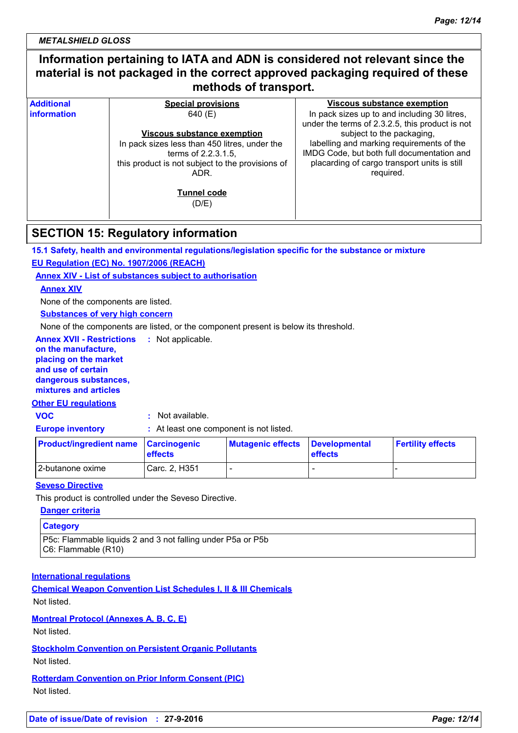*METALSHIELD GLOSS*

| Information pertaining to IATA and ADN is considered not relevant since the<br>material is not packaged in the correct approved packaging required of these<br>methods of transport. |                                                  |                                                                                                 |  |  |
|--------------------------------------------------------------------------------------------------------------------------------------------------------------------------------------|--------------------------------------------------|-------------------------------------------------------------------------------------------------|--|--|
| <b>Additional</b>                                                                                                                                                                    | <b>Special provisions</b>                        | <b>Viscous substance exemption</b>                                                              |  |  |
| <i>information</i>                                                                                                                                                                   | 640 (E)                                          | In pack sizes up to and including 30 litres,<br>under the terms of 2.3.2.5, this product is not |  |  |
|                                                                                                                                                                                      | <b>Viscous substance exemption</b>               | subject to the packaging,                                                                       |  |  |
|                                                                                                                                                                                      | In pack sizes less than 450 litres, under the    | labelling and marking requirements of the                                                       |  |  |
|                                                                                                                                                                                      | terms of 2.2.3.1.5.                              | IMDG Code, but both full documentation and                                                      |  |  |
|                                                                                                                                                                                      | this product is not subject to the provisions of | placarding of cargo transport units is still                                                    |  |  |
|                                                                                                                                                                                      | ADR.                                             | required.                                                                                       |  |  |
|                                                                                                                                                                                      | <b>Tunnel code</b><br>(D/E)                      |                                                                                                 |  |  |
|                                                                                                                                                                                      |                                                  |                                                                                                 |  |  |

### **SECTION 15: Regulatory information**

**15.1 Safety, health and environmental regulations/legislation specific for the substance or mixture**

**EU Regulation (EC) No. 1907/2006 (REACH)**

**Annex XIV - List of substances subject to authorisation**

### **Annex XIV**

None of the components are listed.

**Substances of very high concern**

None of the components are listed, or the component present is below its threshold.

**Annex XVII - Restrictions : Not applicable. on the manufacture, placing on the market and use of certain dangerous substances, mixtures and articles**

#### **Other EU regulations**

**VOC :** Not available.

**Europe inventory :** At least one component is not listed.

| <b>Product/ingredient name Carcinogenic</b> | <b>effects</b> | Mutagenic effects Developmental | <b>effects</b> | <b>Fertility effects</b> |
|---------------------------------------------|----------------|---------------------------------|----------------|--------------------------|
| 2-butanone oxime                            | Carc. 2, H351  | -                               |                |                          |

### **Seveso Directive**

This product is controlled under the Seveso Directive.

#### **Danger criteria**

#### **Category**

P5c: Flammable liquids 2 and 3 not falling under P5a or P5b C6: Flammable (R10)

### **International regulations**

**Chemical Weapon Convention List Schedules I, II & III Chemicals** Not listed.

### **Montreal Protocol (Annexes A, B, C, E)**

Not listed.

**Stockholm Convention on Persistent Organic Pollutants**

### Not listed.

**Rotterdam Convention on Prior Inform Consent (PIC)** Not listed.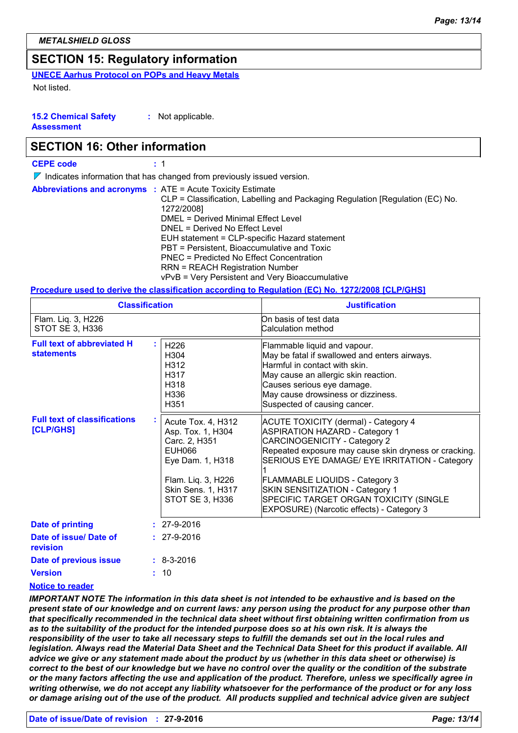# **SECTION 15: Regulatory information**

**UNECE Aarhus Protocol on POPs and Heavy Metals**

Not listed.

**15.2 Chemical Safety Assessment :** Not applicable.

### **SECTION 16: Other information**

| <b>CEPE code</b> |
|------------------|
|------------------|

 $\nabla$  Indicates information that has changed from previously issued version.

| <b>Abbreviations and acronyms : ATE = Acute Toxicity Estimate</b><br>CLP = Classification, Labelling and Packaging Regulation [Regulation (EC) No.<br>1272/2008]<br>DMEL = Derived Minimal Effect Level<br>DNEL = Derived No Effect Level<br>EUH statement = CLP-specific Hazard statement<br>PBT = Persistent, Bioaccumulative and Toxic<br>PNEC = Predicted No Effect Concentration<br><b>RRN = REACH Registration Number</b> |
|---------------------------------------------------------------------------------------------------------------------------------------------------------------------------------------------------------------------------------------------------------------------------------------------------------------------------------------------------------------------------------------------------------------------------------|
| vPvB = Very Persistent and Very Bioaccumulative                                                                                                                                                                                                                                                                                                                                                                                 |

### **Procedure used to derive the classification according to Regulation (EC) No. 1272/2008 [CLP/GHS]**

|                                                        | <b>Classification</b>                                                                                                                                        | <b>Justification</b>                                                                                                                                                                                                                                                                                                                                                                              |
|--------------------------------------------------------|--------------------------------------------------------------------------------------------------------------------------------------------------------------|---------------------------------------------------------------------------------------------------------------------------------------------------------------------------------------------------------------------------------------------------------------------------------------------------------------------------------------------------------------------------------------------------|
| Flam. Liq. 3, H226<br>STOT SE 3, H336                  |                                                                                                                                                              | On basis of test data<br>Calculation method                                                                                                                                                                                                                                                                                                                                                       |
| <b>Full text of abbreviated H</b><br><b>statements</b> | H226<br>H <sub>304</sub><br>H312<br>H317<br>H318<br>H336<br>H351                                                                                             | Flammable liquid and vapour.<br>May be fatal if swallowed and enters airways.<br>Harmful in contact with skin.<br>May cause an allergic skin reaction.<br>Causes serious eye damage.<br>May cause drowsiness or dizziness.<br>Suspected of causing cancer.                                                                                                                                        |
| <b>Full text of classifications</b><br>[CLP/GHS]       | Acute Tox. 4, H312<br>Asp. Tox. 1, H304<br>Carc. 2, H351<br>EUH066<br>Eye Dam. 1, H318<br>Flam. Liq. 3, H226<br><b>Skin Sens. 1, H317</b><br>STOT SE 3, H336 | <b>ACUTE TOXICITY (dermal) - Category 4</b><br>ASPIRATION HAZARD - Category 1<br><b>CARCINOGENICITY - Category 2</b><br>Repeated exposure may cause skin dryness or cracking.<br>SERIOUS EYE DAMAGE/ EYE IRRITATION - Category<br><b>FLAMMABLE LIQUIDS - Category 3</b><br>SKIN SENSITIZATION - Category 1<br>SPECIFIC TARGET ORGAN TOXICITY (SINGLE<br>EXPOSURE) (Narcotic effects) - Category 3 |
| <b>Date of printing</b>                                | $: 27 - 9 - 2016$                                                                                                                                            |                                                                                                                                                                                                                                                                                                                                                                                                   |
| Date of issue/ Date of<br>revision                     | $: 27 - 9 - 2016$                                                                                                                                            |                                                                                                                                                                                                                                                                                                                                                                                                   |
| Date of previous issue                                 | $: 8 - 3 - 2016$                                                                                                                                             |                                                                                                                                                                                                                                                                                                                                                                                                   |
| <b>Version</b>                                         | : 10                                                                                                                                                         |                                                                                                                                                                                                                                                                                                                                                                                                   |

### **Notice to reader**

*IMPORTANT NOTE The information in this data sheet is not intended to be exhaustive and is based on the present state of our knowledge and on current laws: any person using the product for any purpose other than that specifically recommended in the technical data sheet without first obtaining written confirmation from us*  as to the suitability of the product for the intended purpose does so at his own risk. It is always the *responsibility of the user to take all necessary steps to fulfill the demands set out in the local rules and legislation. Always read the Material Data Sheet and the Technical Data Sheet for this product if available. All advice we give or any statement made about the product by us (whether in this data sheet or otherwise) is correct to the best of our knowledge but we have no control over the quality or the condition of the substrate or the many factors affecting the use and application of the product. Therefore, unless we specifically agree in writing otherwise, we do not accept any liability whatsoever for the performance of the product or for any loss or damage arising out of the use of the product. All products supplied and technical advice given are subject*